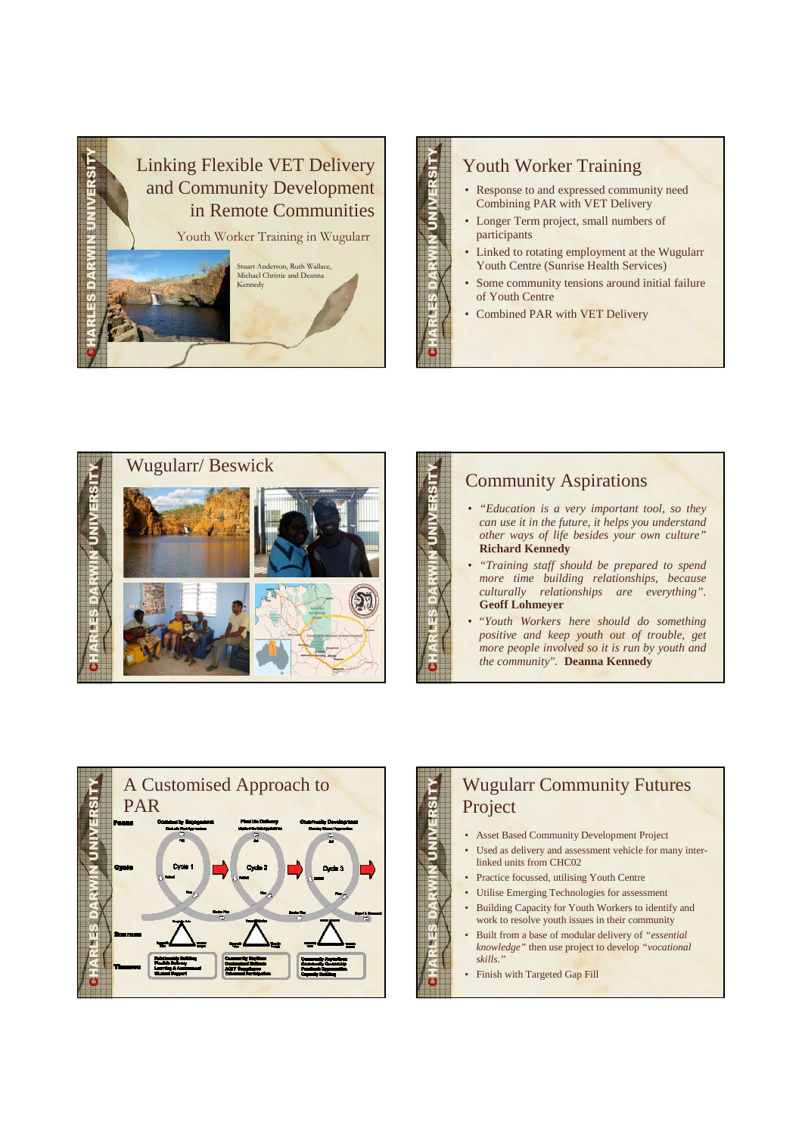

### Youth Worker Training

- Response to and expressed community need Combining PAR with VET Delivery
- Longer Term project, small numbers of participants
- Linked to rotating employment at the Wugularr Youth Centre (Sunrise Health Services)
- Some community tensions around initial failure of Youth Centre
- Combined PAR with VET Delivery

CHARLES DARWIN UNIVERSITY

CHARLES DARWIN UNIVERSITY



### Community Aspirations

- *"Education is a very important tool, so they can use it in the future, it helps you understand other ways of life besides your own culture"* **Richard Kennedy**
- *"Training staff should be prepared to spend more time building relationships, because culturally relationships are everything".*  **Geoff Lohmeyer**
- "*Youth Workers here should do something positive and keep youth out of trouble, get more people involved so it is run by youth and the community"*. **Deanna Kennedy**



# CHARLES DARWIN UNIVERSITY Wugularr Community Futures Project

- Asset Based Community Development Project
- Used as delivery and assessment vehicle for many interlinked units from CHC02
- Practice focussed, utilising Youth Centre
- Utilise Emerging Technologies for assessment
- Building Capacity for Youth Workers to identify and work to resolve youth issues in their community
- Built from a base of modular delivery of *"essential knowledge"* then use project to develop *"vocational skills."*
- Finish with Targeted Gap Fill